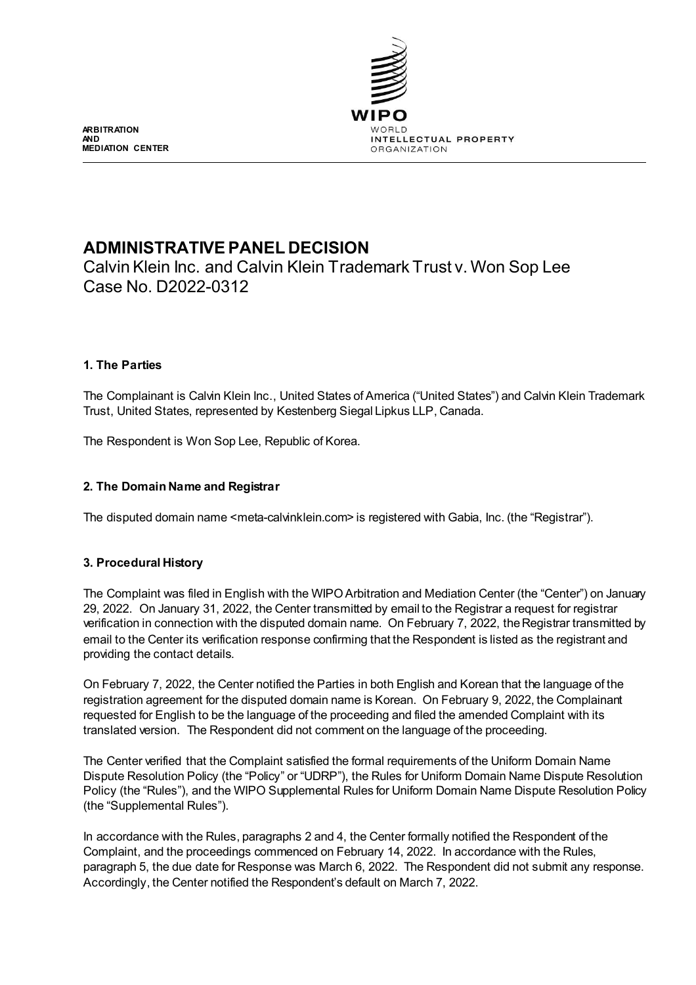

**ARBITRATION AND MEDIATION CENTER**

# **ADMINISTRATIVE PANEL DECISION**

Calvin Klein Inc. and Calvin Klein Trademark Trust v. Won Sop Lee Case No. D2022-0312

# **1. The Parties**

The Complainant is Calvin Klein Inc., United States of America ("United States") and Calvin Klein Trademark Trust, United States, represented by Kestenberg Siegal Lipkus LLP, Canada.

The Respondent is Won Sop Lee, Republic of Korea.

# **2. The Domain Name and Registrar**

The disputed domain name <meta-calvinklein.com> is registered with Gabia, Inc. (the "Registrar").

# **3. Procedural History**

The Complaint was filed in English with the WIPO Arbitration and Mediation Center (the "Center") on January 29, 2022. On January 31, 2022, the Center transmitted by email to the Registrar a request for registrar verification in connection with the disputed domain name. On February 7, 2022, the Registrar transmitted by email to the Center its verification response confirming that the Respondent is listed as the registrant and providing the contact details.

On February 7, 2022, the Center notified the Parties in both English and Korean that the language of the registration agreement for the disputed domain name is Korean. On February 9, 2022, the Complainant requested for English to be the language of the proceeding and filed the amended Complaint with its translated version. The Respondent did not comment on the language of the proceeding.

The Center verified that the Complaint satisfied the formal requirements of the Uniform Domain Name Dispute Resolution Policy (the "Policy" or "UDRP"), the Rules for Uniform Domain Name Dispute Resolution Policy (the "Rules"), and the WIPO Supplemental Rules for Uniform Domain Name Dispute Resolution Policy (the "Supplemental Rules").

In accordance with the Rules, paragraphs 2 and 4, the Center formally notified the Respondent of the Complaint, and the proceedings commenced on February 14, 2022. In accordance with the Rules, paragraph 5, the due date for Response was March 6, 2022. The Respondent did not submit any response. Accordingly, the Center notified the Respondent's default on March 7, 2022.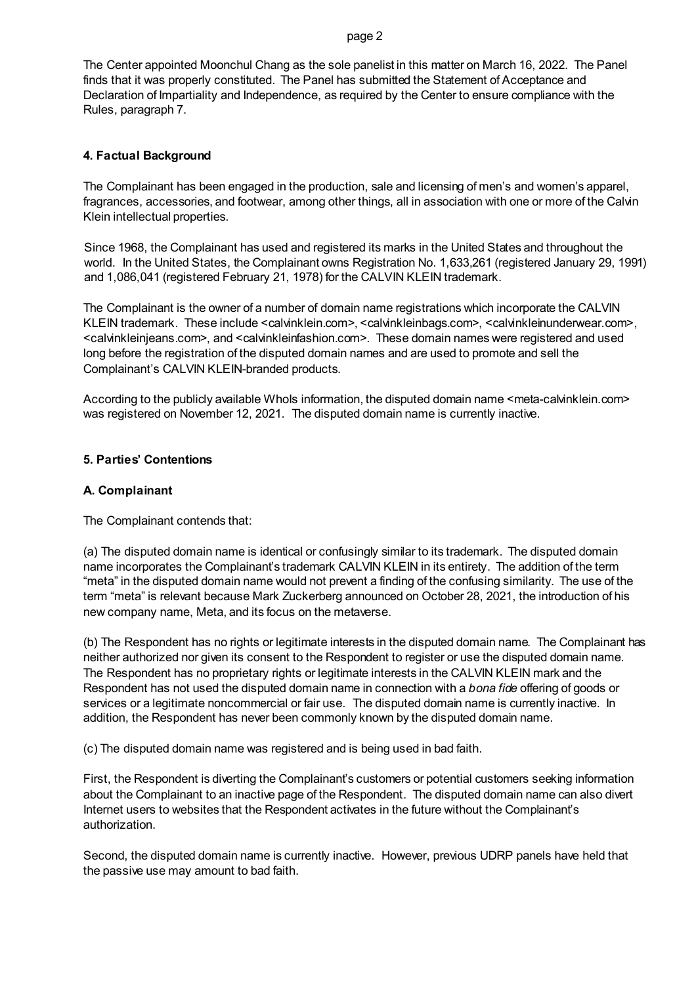The Center appointed Moonchul Chang as the sole panelist in this matter on March 16, 2022. The Panel finds that it was properly constituted. The Panel has submitted the Statement of Acceptance and Declaration of Impartiality and Independence, as required by the Center to ensure compliance with the Rules, paragraph 7.

#### **4. Factual Background**

The Complainant has been engaged in the production, sale and licensing of men's and women's apparel, fragrances, accessories, and footwear, among other things, all in association with one or more of the Calvin Klein intellectual properties.

Since 1968, the Complainant has used and registered its marks in the United States and throughout the world. In the United States, the Complainant owns Registration No. 1,633,261 (registered January 29, 1991) and 1,086,041 (registered February 21, 1978) for the CALVIN KLEIN trademark.

The Complainant is the owner of a number of domain name registrations which incorporate the CALVIN KLEIN trademark. These include <calvinklein.com>, <calvinkleinbags.com>, <calvinkleinunderwear.com>, <calvinkleinjeans.com>, and <calvinkleinfashion.com>. These domain names were registered and used long before the registration of the disputed domain names and are used to promote and sell the Complainant's CALVIN KLEIN-branded products.

According to the publicly available Whols information, the disputed domain name <meta-calvinklein.com> was registered on November 12, 2021. The disputed domain name is currently inactive.

#### **5. Parties' Contentions**

#### **A. Complainant**

The Complainant contends that:

(a) The disputed domain name is identical or confusingly similar to its trademark. The disputed domain name incorporates the Complainant's trademark CALVIN KLEIN in its entirety. The addition of the term "meta" in the disputed domain name would not prevent a finding of the confusing similarity. The use of the term "meta" is relevant because Mark Zuckerberg announced on October 28, 2021, the introduction of his new company name, Meta, and its focus on the metaverse.

(b) The Respondent has no rights or legitimate interests in the disputed domain name. The Complainant has neither authorized nor given its consent to the Respondent to register or use the disputed domain name. The Respondent has no proprietary rights or legitimate interests in the CALVIN KLEIN mark and the Respondent has not used the disputed domain name in connection with a *bona fide* offering of goods or services or a legitimate noncommercial or fair use. The disputed domain name is currently inactive. In addition, the Respondent has never been commonly known by the disputed domain name.

(c) The disputed domain name was registered and is being used in bad faith.

First, the Respondent is diverting the Complainant's customers or potential customers seeking information about the Complainant to an inactive page of the Respondent. The disputed domain name can also divert Internet users to websites that the Respondent activates in the future without the Complainant's authorization.

Second, the disputed domain name is currently inactive. However, previous UDRP panels have held that the passive use may amount to bad faith.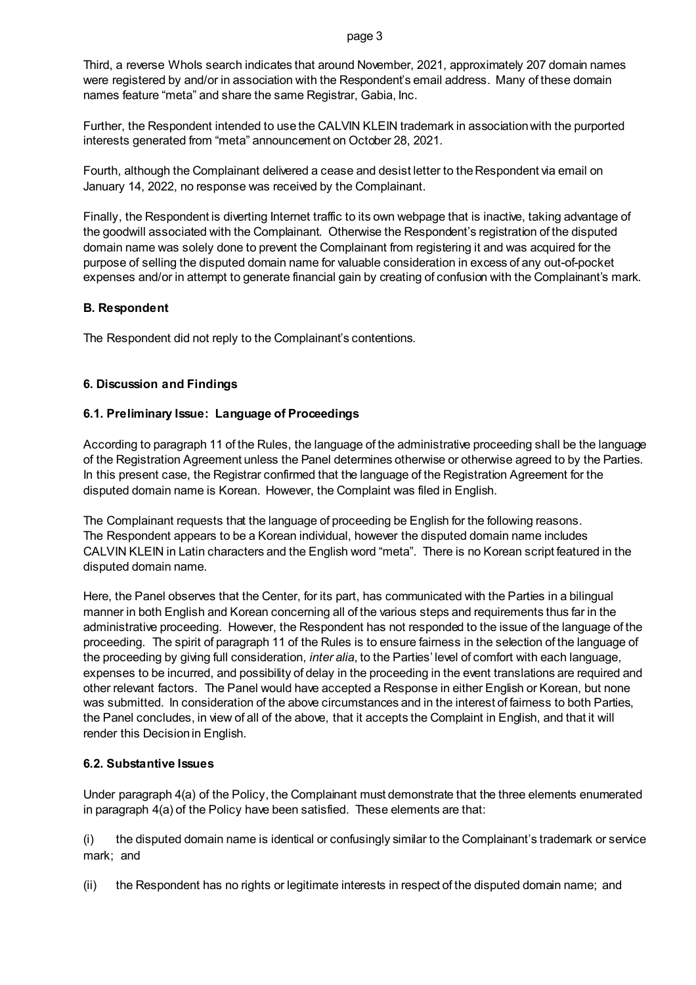Third, a reverse WhoIs search indicates that around November, 2021, approximately 207 domain names were registered by and/or in association with the Respondent's email address. Many of these domain names feature "meta" and share the same Registrar, Gabia, Inc.

Further, the Respondent intended to use the CALVIN KLEIN trademark in association with the purported interests generated from "meta" announcement on October 28, 2021.

Fourth, although the Complainant delivered a cease and desist letter to the Respondent via email on January 14, 2022, no response was received by the Complainant.

Finally, the Respondent is diverting Internet traffic to its own webpage that is inactive, taking advantage of the goodwill associated with the Complainant. Otherwise the Respondent's registration of the disputed domain name was solely done to prevent the Complainant from registering it and was acquired for the purpose of selling the disputed domain name for valuable consideration in excess of any out-of-pocket expenses and/or in attempt to generate financial gain by creating of confusion with the Complainant's mark.

# **B. Respondent**

The Respondent did not reply to the Complainant's contentions.

# **6. Discussion and Findings**

# **6.1. Preliminary Issue: Language of Proceedings**

According to paragraph 11 of the Rules, the language of the administrative proceeding shall be the language of the Registration Agreement unless the Panel determines otherwise or otherwise agreed to by the Parties. In this present case, the Registrar confirmed that the language of the Registration Agreement for the disputed domain name is Korean. However, the Complaint was filed in English.

The Complainant requests that the language of proceeding be English for the following reasons. The Respondent appears to be a Korean individual, however the disputed domain name includes CALVIN KLEIN in Latin characters and the English word "meta". There is no Korean script featured in the disputed domain name.

Here, the Panel observes that the Center, for its part, has communicated with the Parties in a bilingual manner in both English and Korean concerning all of the various steps and requirements thus far in the administrative proceeding. However, the Respondent has not responded to the issue of the language of the proceeding. The spirit of paragraph 11 of the Rules is to ensure fairness in the selection of the language of the proceeding by giving full consideration, *inter alia*, to the Parties' level of comfort with each language, expenses to be incurred, and possibility of delay in the proceeding in the event translations are required and other relevant factors. The Panel would have accepted a Response in either English or Korean, but none was submitted. In consideration of the above circumstances and in the interest of fairness to both Parties, the Panel concludes, in view of all of the above, that it accepts the Complaint in English, and that it will render this Decision in English.

# **6.2. Substantive Issues**

Under paragraph 4(a) of the Policy, the Complainant must demonstrate that the three elements enumerated in paragraph 4(a) of the Policy have been satisfied. These elements are that:

(i) the disputed domain name is identical or confusingly similar to the Complainant's trademark or service mark; and

(ii) the Respondent has no rights or legitimate interests in respect of the disputed domain name; and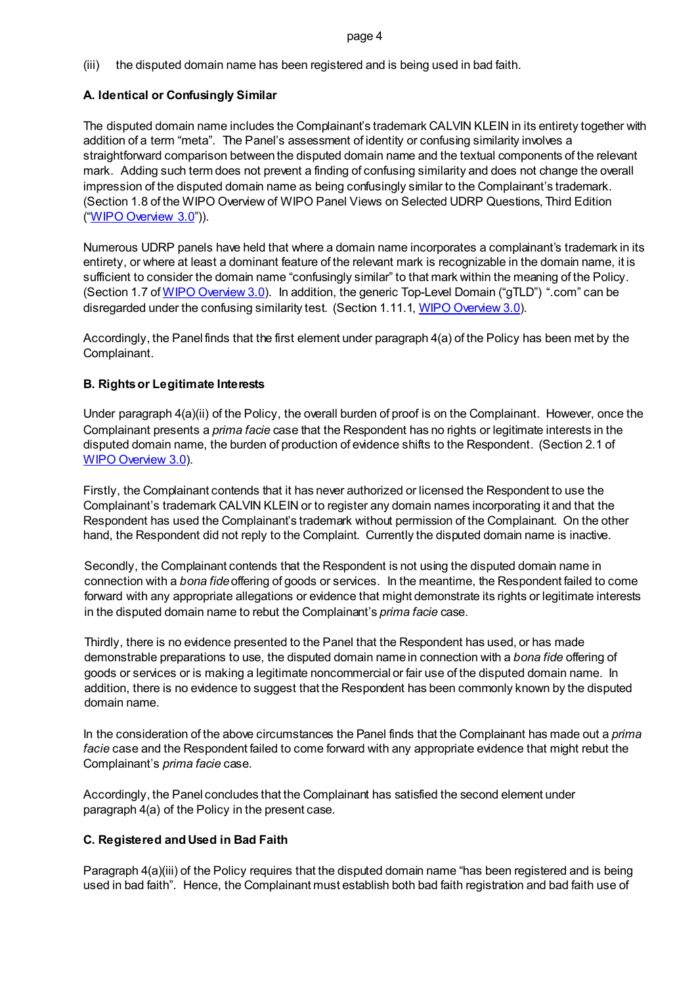(iii) the disputed domain name has been registered and is being used in bad faith.

# **A. Identical or Confusingly Similar**

The disputed domain name includes the Complainant's trademark CALVIN KLEIN in its entirety together with addition of a term "meta". The Panel's assessment of identity or confusing similarity involves a straightforward comparison between the disputed domain name and the textual components of the relevant mark. Adding such term does not prevent a finding of confusing similarity and does not change the overall impression of the disputed domain name as being confusingly similar to the Complainant's trademark. (Section 1.8 of the WIPO Overview of WIPO Panel Views on Selected UDRP Questions, Third Edition (["WIPO Overview 3.0"](https://www.wipo.int/amc/en/domains/search/overview3.0/))).

Numerous UDRP panels have held that where a domain name incorporates a complainant's trademark in its entirety, or where at least a dominant feature of the relevant mark is recognizable in the domain name, it is sufficient to consider the domain name "confusingly similar" to that mark within the meaning of the Policy. (Section 1.7 o[f WIPO Overview 3.0\)](https://www.wipo.int/amc/en/domains/search/overview3.0/). In addition, the generic Top-Level Domain ("gTLD") ".com" can be disregarded under the confusing similarity test. (Section 1.11.1[, WIPO Overview 3.0\)](https://www.wipo.int/amc/en/domains/search/overview3.0/).

Accordingly, the Panel finds that the first element under paragraph 4(a) of the Policy has been met by the Complainant.

# **B. Rights or Legitimate Interests**

Under paragraph 4(a)(ii) of the Policy, the overall burden of proof is on the Complainant. However, once the Complainant presents a *prima facie* case that the Respondent has no rights or legitimate interests in the disputed domain name, the burden of production of evidence shifts to the Respondent. (Section 2.1 of [WIPO Overview 3.0\)](https://www.wipo.int/amc/en/domains/search/overview3.0/).

Firstly, the Complainant contends that it has never authorized or licensed the Respondent to use the Complainant's trademark CALVIN KLEIN or to register any domain names incorporating it and that the Respondent has used the Complainant's trademark without permission of the Complainant. On the other hand, the Respondent did not reply to the Complaint. Currently the disputed domain name is inactive.

Secondly, the Complainant contends that the Respondent is not using the disputed domain name in connection with a *bona fide* offering of goods or services. In the meantime, the Respondent failed to come forward with any appropriate allegations or evidence that might demonstrate its rights or legitimate interests in the disputed domain name to rebut the Complainant's *prima facie* case.

Thirdly, there is no evidence presented to the Panel that the Respondent has used, or has made demonstrable preparations to use, the disputed domain name in connection with a *bona fide* offering of goods or services or is making a legitimate noncommercial or fair use of the disputed domain name. In addition, there is no evidence to suggest that the Respondent has been commonly known by the disputed domain name.

In the consideration of the above circumstances the Panel finds that the Complainant has made out a *prima facie* case and the Respondent failed to come forward with any appropriate evidence that might rebut the Complainant's *prima facie* case.

Accordingly, the Panel concludes that the Complainant has satisfied the second element under paragraph 4(a) of the Policy in the present case.

# **C. Registered and Used in Bad Faith**

Paragraph 4(a)(iii) of the Policy requires that the disputed domain name "has been registered and is being used in bad faith". Hence, the Complainant must establish both bad faith registration and bad faith use of